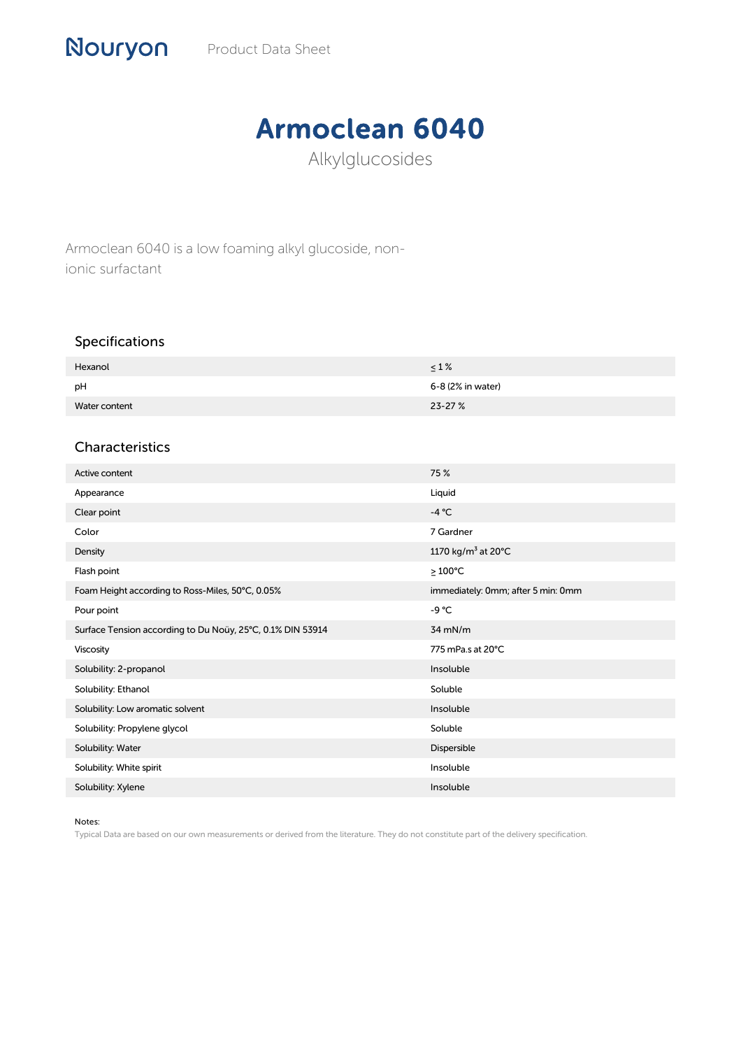## Armoclean 6040

Alkylglucosides

Armoclean 6040 is a low foaming alkyl glucoside, nonionic surfactant

## Specifications

| Hexanol       | $\leq 1\%$        |
|---------------|-------------------|
| pH            | 6-8 (2% in water) |
| Water content | $23 - 27%$        |

## Characteristics

| Active content                                             | 75 %                               |
|------------------------------------------------------------|------------------------------------|
| Appearance                                                 | Liquid                             |
| Clear point                                                | $-4 °C$                            |
| Color                                                      | 7 Gardner                          |
| Density                                                    | 1170 kg/m <sup>3</sup> at 20°C     |
| Flash point                                                | $≥100°C$                           |
| Foam Height according to Ross-Miles, 50°C, 0.05%           | immediately: 0mm; after 5 min: 0mm |
| Pour point                                                 | $-9 °C$                            |
| Surface Tension according to Du Noüy, 25°C, 0.1% DIN 53914 | $34$ mN/m                          |
| Viscosity                                                  | 775 mPa.s at 20°C                  |
| Solubility: 2-propanol                                     | Insoluble                          |
| Solubility: Ethanol                                        | Soluble                            |
| Solubility: Low aromatic solvent                           | Insoluble                          |
| Solubility: Propylene glycol                               | Soluble                            |
| Solubility: Water                                          | Dispersible                        |
| Solubility: White spirit                                   | Insoluble                          |
| Solubility: Xylene                                         | Insoluble                          |

Notes:

Typical Data are based on our own measurements or derived from the literature. They do not constitute part of the delivery specification.